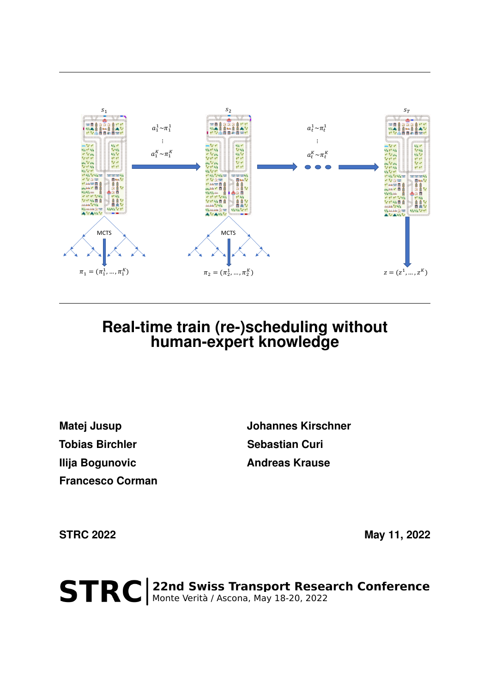

## **Real-time train (re-)scheduling without human-expert knowledge**

**Tobias Birchler Sebastian Curi Ilija Bogunovic Andreas Krause Francesco Corman**

**Matej Jusup 19 Community Community Matej Jusup Johannes Kirschner** 

**STRC 2022 May 11, 2022** 

STRC | 22nd Swiss Transport Research Conference